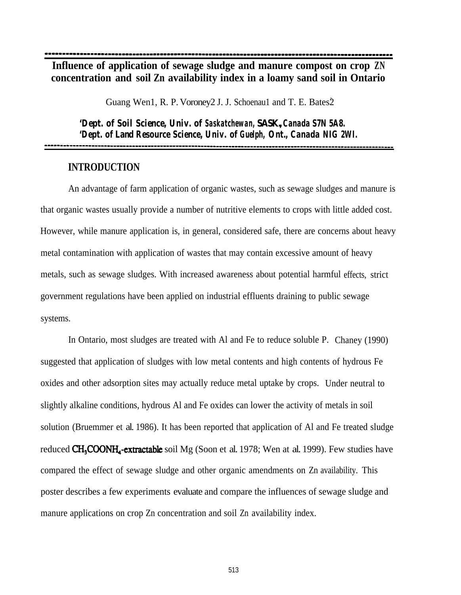-------111--1-1---~--------.----------------------------.-----.---.----------------------------------

**Influence of application of sewage sludge and manure compost on crop ZN concentration and soil Zn availability index in a loamy sand soil in Ontario**

Guang Wen1, R. P. Voroney2 J. J. Schoenau1 and T. E. Bates2

*'Dept. of Soil Science, Univ. of Saskatchewan, SASK.,Canada S7N 5A8. 'Dept. of Land Resource Science, Univ. of Guelph, Ont., Canada NIG 2WI.* \_-\_\_-\_\_\_\_-----\_\_\_\_\_\_~~~~~~~~~~~~~~~~~-----------~~~~~~~~~~~~~~~~~~~~~~~~~~~~~~~~~~~~~~~~~~~~~~~~~~~~~~~~~~~~~~~~

## **INTRODUCTION**

An advantage of farm application of organic wastes, such as sewage sludges and manure is that organic wastes usually provide a number of nutritive elements to crops with little added cost. However, while manure application is, in general, considered safe, there are concerns about heavy metal contamination with application of wastes that may contain excessive amount of heavy metals, such as sewage sludges. With increased awareness about potential harmful effects, strict government regulations have been applied on industrial effluents draining to public sewage systems.

In Ontario, most sludges are treated with Al and Fe to reduce soluble P. Chaney (1990) suggested that application of sludges with low metal contents and high contents of hydrous Fe oxides and other adsorption sites may actually reduce metal uptake by crops. Under neutral to slightly alkaline conditions, hydrous Al and Fe oxides can lower the activity of metals in soil solution (Bruemmer et al. 1986). It has been reported that application of Al and Fe treated sludge reduced  $CH<sub>3</sub>COONH<sub>4</sub>$ -extractable soil Mg (Soon et al. 1978; Wen at al. 1999). Few studies have compared the effect of sewage sludge and other organic amendments on Zn availability. This poster describes a few experiments evaluate and compare the influences of sewage sludge and manure applications on crop Zn concentration and soil Zn availability index.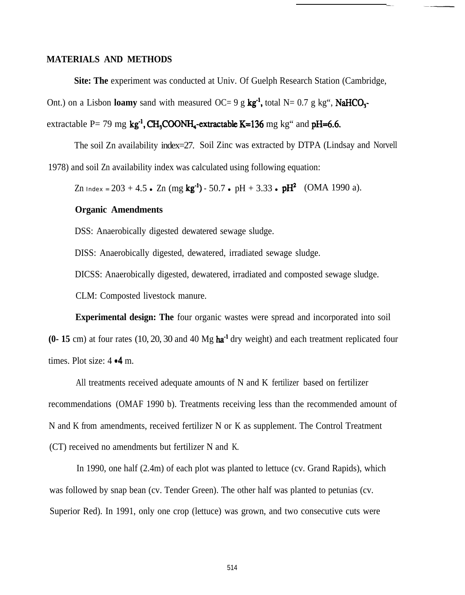## **MATERIALS AND METHODS**

**Site: The** experiment was conducted at Univ. Of Guelph Research Station (Cambridge,

Ont.) on a Lisbon **loamy** sand with measured OC= 9 g  $kg^{-1}$ , total N= 0.7 g kg", NaHCO<sub>3</sub>-

# extractable P= 79 mg  $kg<sup>-1</sup>$ , CH<sub>3</sub>COONH<sub>4</sub>-extractable K=136 mg kg<sup>\*</sup> and pH=6.6.

The soil Zn availability index=27. Soil Zinc was extracted by DTPA (Lindsay and Norvell 1978) and soil Zn availability index was calculated using following equation:

Zn Index =  $203 + 4.5$  . Zn (mg kg<sup>-1</sup>) - 50.7 . pH + 3.33 . pH<sup>2</sup> (OMA 1990 a).

### **Organic Amendments**

DSS: Anaerobically digested dewatered sewage sludge.

DISS: Anaerobically digested, dewatered, irradiated sewage sludge.

DICSS: Anaerobically digested, dewatered, irradiated and composted sewage sludge.

CLM: Composted livestock manure.

**Experimental design: The** four organic wastes were spread and incorporated into soil **(0- 15** cm) at four rates (10, 20, 30 and 40 Mg ha-' dry weight) and each treatment replicated four times. Plot size:  $4 \cdot 4$  m.

All treatments received adequate amounts of N and K fertilizer based on fertilizer recommendations (OMAF 1990 b). Treatments receiving less than the recommended amount of N and K from amendments, received fertilizer N or K as supplement. The Control Treatment (CT) received no amendments but fertilizer N and K.

In 1990, one half (2.4m) of each plot was planted to lettuce (cv. Grand Rapids), which was followed by snap bean (cv. Tender Green). The other half was planted to petunias (cv. Superior Red). In 1991, only one crop (lettuce) was grown, and two consecutive cuts were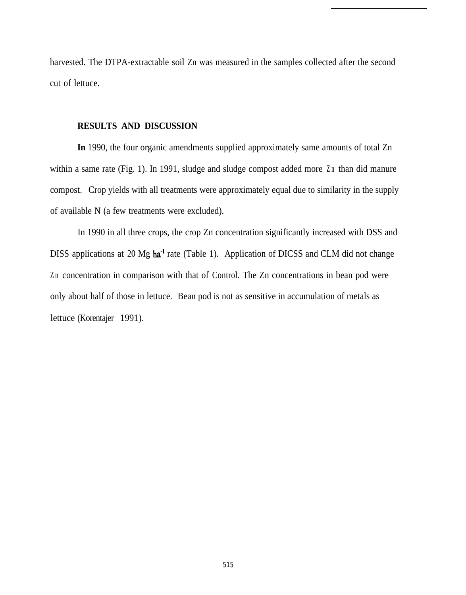harvested. The DTPA-extractable soil Zn was measured in the samples collected after the second cut of lettuce.

# **RESULTS AND DISCUSSION**

**In** 1990, the four organic amendments supplied approximately same amounts of total Zn within a same rate (Fig. 1). In 1991, sludge and sludge compost added more Zn than did manure compost. Crop yields with all treatments were approximately equal due to similarity in the supply of available N (a few treatments were excluded).

In 1990 in all three crops, the crop Zn concentration significantly increased with DSS and DISS applications at 20 Mg ha<sup>-1</sup> rate (Table 1). Application of DICSS and CLM did not change Zn concentration in comparison with that of Control. The Zn concentrations in bean pod were only about half of those in lettuce. Bean pod is not as sensitive in accumulation of metals as lettuce (Korentajer 1991).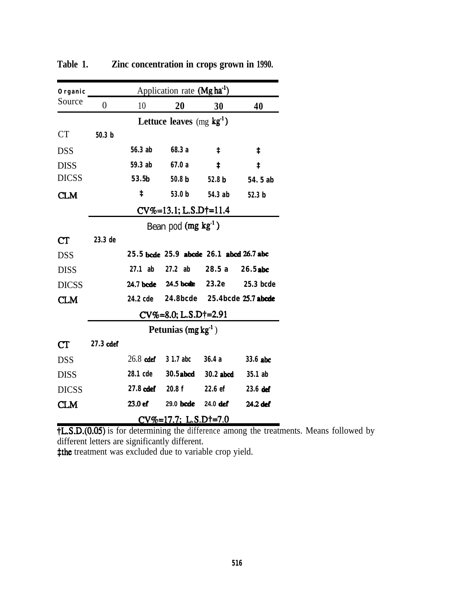| Organic                |                                       | Application rate (Mg ha <sup>-1</sup> ) |                                         |           |                     |  |
|------------------------|---------------------------------------|-----------------------------------------|-----------------------------------------|-----------|---------------------|--|
| Source                 | $\overline{0}$                        | 10                                      | 20                                      | 30        | 40                  |  |
|                        |                                       |                                         | Lettuce leaves $(mg \text{ kg}^{-1})$   |           |                     |  |
| <b>CT</b>              | 50.3 <sub>b</sub>                     |                                         |                                         |           |                     |  |
| <b>DSS</b>             |                                       | 56.3 ab                                 | 68.3 a                                  | ŧ         | ŧ                   |  |
| <b>DISS</b>            |                                       | 59.3 ab                                 | 67.0 a                                  | ŧ         | $\ddagger$          |  |
| <b>DICSS</b>           |                                       | 53.5 <sub>b</sub>                       | 50.8 <sub>b</sub>                       | 52.8 b    | 54. 5 ab            |  |
| <b>CLM</b>             |                                       | ŧ                                       | 53.0 <sub>b</sub>                       | 54.3 ab   | 52.3 <sub>b</sub>   |  |
|                        |                                       | $CV%=13.1; L.S.D+=11.4$                 |                                         |           |                     |  |
|                        |                                       | Bean pod $(mg kg-1)$                    |                                         |           |                     |  |
| $\mathop{\mathrm{CT}}$ | 23.3 de                               |                                         |                                         |           |                     |  |
| <b>DSS</b>             |                                       |                                         | 25.5 bcde 25.9 abcde 26.1 abcd 26.7 abc |           |                     |  |
| <b>DISS</b>            |                                       | $27.1$ ab                               | $27.2$ ab                               | 28.5a     | 26.5 abc            |  |
| <b>DICSS</b>           |                                       |                                         | 24.7 bede 24.5 bede                     | 23.2e     | <b>25.3 bcde</b>    |  |
| <b>CLM</b>             |                                       | 24.2 cde                                | <b>24.8bcde</b>                         |           | 25.4bcde 25.7 abcde |  |
|                        |                                       | $CV\% = 8.0; L.S.D+=2.91$               |                                         |           |                     |  |
|                        |                                       | Petunias $(mg kg-1)$                    |                                         |           |                     |  |
| CT                     | 27.3 cdef                             |                                         |                                         |           |                     |  |
| <b>DSS</b>             |                                       | $26.8$ cdef                             | 3 1.7 abc                               | 36.4 a    | 33.6 abc            |  |
| <b>DISS</b>            |                                       | 28.1 cde                                | $30.5$ abcd                             | 30.2 abcd | 35.1 ab             |  |
| <b>DICSS</b>           |                                       | 27.8 cdef                               | 20.8f                                   | 22.6 ef   | 23.6 def            |  |
| CLM                    |                                       | 23.0 ef                                 | 29.0 <b>bcde</b>                        | 24.0 def  | 24.2 def            |  |
|                        | $CV\% = 17.7$ ; L.S.D $\dagger = 7.0$ |                                         |                                         |           |                     |  |

**Table 1. Zinc concentration in crops grown in 1990.**

**tL.S.D.(0.05)** is for determining the difference among the treatments. Means followed by different letters are significantly different.

**‡the** treatment was excluded due to variable crop yield.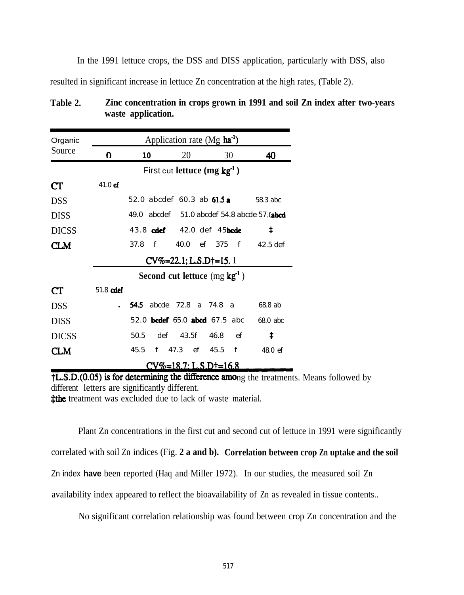In the 1991 lettuce crops, the DSS and DISS application, particularly with DSS, also resulted in significant increase in lettuce Zn concentration at the high rates, (Table 2).

| Organic                | Application rate $(Mg \text{ ha}^{-1})$           |                                 |                               |                               |            |  |  |
|------------------------|---------------------------------------------------|---------------------------------|-------------------------------|-------------------------------|------------|--|--|
| Source                 | $\bf{0}$                                          | 10                              | 20                            | 30                            | 40         |  |  |
|                        |                                                   |                                 | First cut lettuce $(mg kg-1)$ |                               |            |  |  |
| $\mathbf{C}\mathbf{T}$ | $41.0$ ef                                         |                                 |                               |                               |            |  |  |
| <b>DSS</b>             |                                                   | 52.0 abcdef 60.3 ab 61.5 a      |                               |                               | 58.3 abc   |  |  |
| <b>DISS</b>            | 49.0 $abcdef = 51.0abcdef = 54.8abcde = 57.0abcd$ |                                 |                               |                               |            |  |  |
| <b>DICSS</b>           |                                                   | 43.8 cdef 42.0 def 45bcde       |                               |                               | ŧ          |  |  |
| CLM                    |                                                   | 37.8<br>$\mathbf{f}$            |                               | 40.0 ef 375 f 42.5 def        |            |  |  |
|                        | $CV\% = 22.1; L.S.D+=15.1$                        |                                 |                               |                               |            |  |  |
|                        | Second cut lettuce $(mg \textbf{kg}^1)$           |                                 |                               |                               |            |  |  |
| CT                     | 51.8 cdef                                         |                                 |                               |                               |            |  |  |
| <b>DSS</b>             |                                                   | <b>54.5</b> abcde 72.8 a 74.8 a |                               |                               | 68.8 ab    |  |  |
| <b>DISS</b>            |                                                   |                                 |                               | 52.0 bcdef 65.0 abcd 67.5 abc | 68.0 abc   |  |  |
| <b>DICSS</b>           |                                                   | 50.5                            | def 43.5f 46.8                | ef                            | $\ddagger$ |  |  |
| <b>CLM</b>             |                                                   | 45.5 f 47.3 ef 45.5 f           |                               |                               | 48.0 ef    |  |  |
|                        | $CVQ_{0} = 187 \cdot 1.5$ D+=16 8                 |                                 |                               |                               |            |  |  |

| Table 2. | Zinc concentration in crops grown in 1991 and soil Zn index after two-years |
|----------|-----------------------------------------------------------------------------|
|          | waste application.                                                          |

 $\ddagger$ L.S.D. $(0.05)$  is for determining the difference among the treatments. Means followed by different letters are significantly different. **‡the** treatment was excluded due to lack of waste material.

Plant Zn concentrations in the first cut and second cut of lettuce in 1991 were significantly correlated with soil Zn indices (Fig. **2 a and b). Correlation between crop Zn uptake and the soil** Zn index **have** been reported (Haq and Miller 1972). In our studies, the measured soil Zn availability index appeared to reflect the bioavailability of Zn as revealed in tissue contents..

No significant correlation relationship was found between crop Zn concentration and the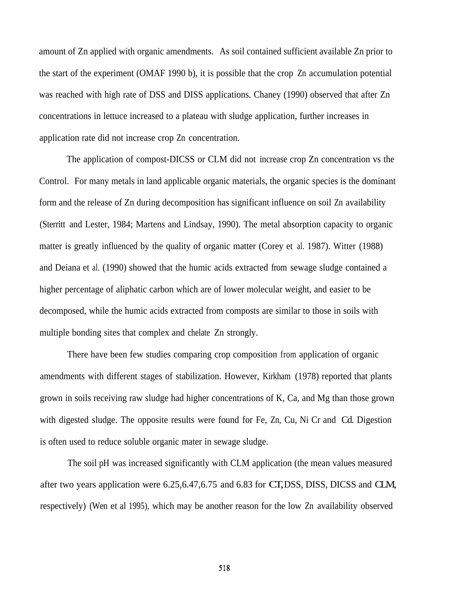amount of Zn applied with organic amendments. As soil contained sufficient available Zn prior to the start of the experiment (OMAF 1990 b), it is possible that the crop Zn accumulation potential was reached with high rate of DSS and DISS applications. Chaney (1990) observed that after Zn concentrations in lettuce increased to a plateau with sludge application, further increases in application rate did not increase crop Zn concentration.

The application of compost-DICSS or CLM did not increase crop Zn concentration vs the Control. For many metals in land applicable organic materials, the organic species is the dominant form and the release of Zn during decomposition has significant influence on soil Zn availability (Sterritt and Lester, 1984; Martens and Lindsay, 1990). The metal absorption capacity to organic matter is greatly influenced by the quality of organic matter (Corey et al. 1987). Witter (1988) and Deiana et al. (1990) showed that the humic acids extracted from sewage sludge contained a higher percentage of aliphatic carbon which are of lower molecular weight, and easier to be decomposed, while the humic acids extracted from composts are similar to those in soils with multiple bonding sites that complex and chelate Zn strongly.

There have been few studies comparing crop composition from application of organic amendments with different stages of stabilization. However, Kirkham (1978) reported that plants grown in soils receiving raw sludge had higher concentrations of K, Ca, and Mg than those grown with digested sludge. The opposite results were found for Fe, Zn, Cu, Ni Cr and Cd. Digestion is often used to reduce soluble organic mater in sewage sludge.

The soil pH was increased significantly with CLM application (the mean values measured after two years application were 6.25,6.47,6.75 and 6.83 for CT, DSS, DISS, DICSS and CLM, respectively) (Wen et al 1995), which may be another reason for the low Zn availability observed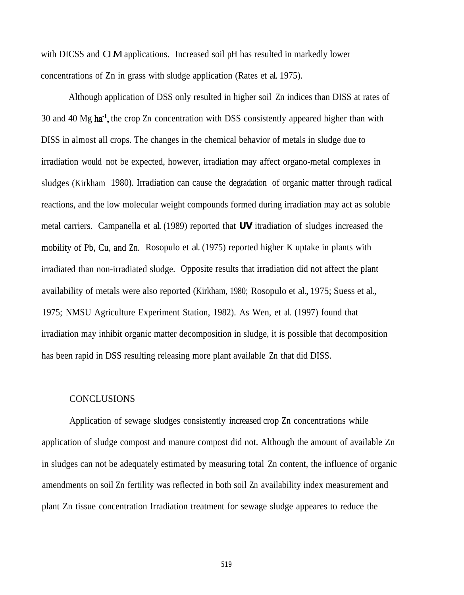with DICSS and **CLM** applications. Increased soil pH has resulted in markedly lower concentrations of Zn in grass with sludge application (Rates et al. 1975).

Although application of DSS only resulted in higher soil Zn indices than DISS at rates of 30 and 40  $\text{Mg}$  ha<sup>-1</sup>, the crop Zn concentration with DSS consistently appeared higher than with DISS in almost all crops. The changes in the chemical behavior of metals in sludge due to irradiation would not be expected, however, irradiation may affect organo-metal complexes in sludges (Kirkham 1980). Irradiation can cause the degradation of organic matter through radical reactions, and the low molecular weight compounds formed during irradiation may act as soluble metal carriers. Campanella et al. (1989) reported that *UV* itradiation of sludges increased the mobility of Pb, Cu, and Zn.. Rosopulo et al. (1975) reported higher K uptake in plants with irradiated than non-irradiated sludge. Opposite results that irradiation did not affect the plant availability of metals were also reported (Kirkham, 1980; Rosopulo et al., 1975; Suess et al., 1975; NMSU Agriculture Experiment Station, 1982). As Wen, et al. (1997) found that irradiation may inhibit organic matter decomposition in sludge, it is possible that decomposition has been rapid in DSS resulting releasing more plant available Zn that did DISS.

#### CONCLUSIONS

Application of sewage sludges consistently increased crop Zn concentrations while application of sludge compost and manure compost did not. Although the amount of available Zn in sludges can not be adequately estimated by measuring total Zn content, the influence of organic amendments on soil Zn fertility was reflected in both soil Zn availability index measurement and plant Zn tissue concentration Irradiation treatment for sewage sludge appeares to reduce the

519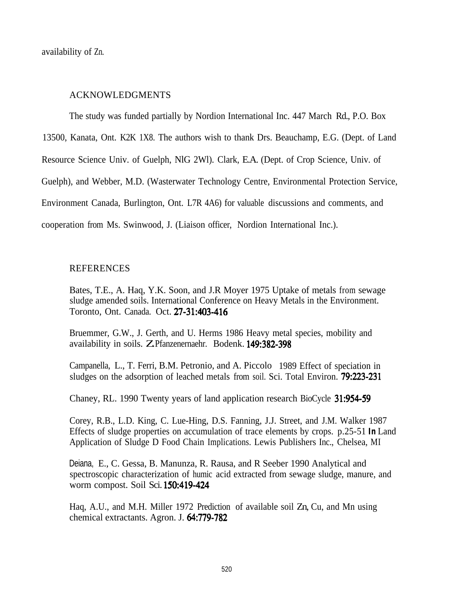availability of Zn.

### ACKNOWLEDGMENTS

The study was funded partially by Nordion International Inc. 447 March Rd., P.O. Box

13500, Kanata, Ont. K2K 1X8. The authors wish to thank Drs. Beauchamp, E.G. (Dept. of Land

Resource Science Univ. of Guelph, NlG 2Wl). Clark, E.A. (Dept. of Crop Science, Univ. of

Guelph), and Webber, M.D. (Wasterwater Technology Centre, Environmental Protection Service,

Environment Canada, Burlington, Ont. L7R 4A6) for valuable discussions and comments, and

cooperation from Ms. Swinwood, J. (Liaison officer, Nordion International Inc.).

#### **REFERENCES**

Bates, T.E., A. Haq, Y.K. Soon, and J.R Moyer 1975 Uptake of metals from sewage sludge amended soils. International Conference on Heavy Metals in the Environment. Toronto, Ont. Canada. Oct. 27-31:403-416

Bruemmer, G.W., J. Gerth, and U. Herms 1986 Heavy metal species, mobility and availability in soils. Z.Pfanzenernaehr. Bodenk. 149:382-398

Campanella, L., T. Ferri, B.M. Petronio, and A. Piccolo 1989 Effect of speciation in sludges on the adsorption of leached metals from soil. Sci. Total Environ. 79:223-231

Chaney, RL. 1990 Twenty years of land application research BioCycle 31:954-59

Corey, R.B., L.D. King, C. Lue-Hing, D.S. Fanning, J.J. Street, and J.M. Walker 1987 Effects of sludge properties on accumulation of trace elements by crops. p.25-51 *In* Land Application of Sludge D Food Chain Implications. Lewis Publishers Inc., Chelsea, MI

Deiana, E., C. Gessa, B. Manunza, R. Rausa, and R Seeber 1990 Analytical and spectroscopic characterization of humic acid extracted from sewage sludge, manure, and worm compost. Soil Sci. 150:419-424

Haq, A.U., and M.H. Miller 1972 Prediction of available soil Zn, Cu, and Mn using chemical extractants. Agron. J. 64:779-782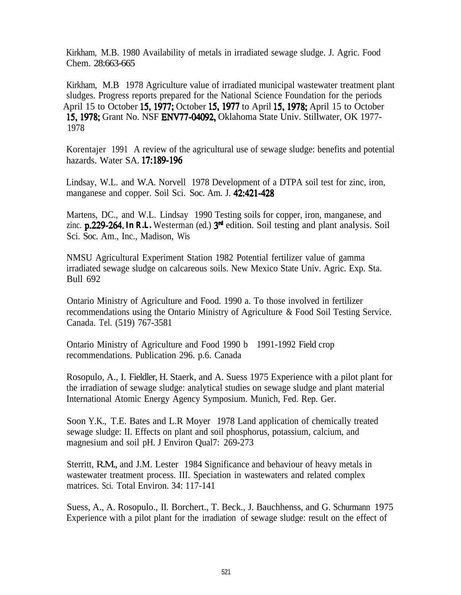Kirkham, M.B. 1980 Availability of metals in irradiated sewage sludge. J. Agric. Food Chem. 28:663-665

Kirkham, M.B 1978 Agriculture value of irradiated municipal wastewater treatment plant sludges. Progress reports prepared for the National Science Foundation for the periods April 15 to October 15,1977; October 15.1977 to April 15,1978; April 15 to October 15,1978; Grant No. NSF ENV77-04092, Oklahoma State Univ. Stillwater, OK 1977- 1978

Korentajer 1991 A review of the agricultural use of sewage sludge: benefits and potential hazards. Water SA. 17:189-196

Lindsay, W.L. and W.A. Norvell 1978 Development of a DTPA soil test for zinc, iron, manganese and copper. Soil Sci. Soc. Am. J. 42:421-428

Martens, DC., and W.L. Lindsay 1990 Testing soils for copper, iron, manganese, and zinc. **p.229-264.** In R.L. Westerman (ed.)  $3<sup>nd</sup>$  edition. Soil testing and plant analysis. Soil Sci. Soc. Am., Inc., Madison, Wis

NMSU Agricultural Experiment Station 1982 Potential fertilizer value of gamma irradiated sewage sludge on calcareous soils. New Mexico State Univ. Agric. Exp. Sta. Bull 692

Ontario Ministry of Agriculture and Food. 1990 a. To those involved in fertilizer recommendations using the Ontario Ministry of Agriculture & Food Soil Testing Service. Canada. Tel. (519) 767-3581

Ontario Ministry of Agriculture and Food 1990 b 1991-1992 Field crop recommendations. Publication 296. p.6. Canada

Rosopulo, A., I. Fieldler, H. Staerk, and A. Suess 1975 Experience with a pilot plant for the irradiation of sewage sludge: analytical studies on sewage sludge and plant material International Atomic Energy Agency Symposium. Munich, Fed. Rep. Ger.

Soon Y.K., T.E. Bates and L.R Moyer 1978 Land application of chemically treated sewage sludge: II. Effects on plant and soil phosphorus, potassium, calcium, and magnesium and soil pH. J Environ Qual7: 269-273

Sterritt, R.M., and J.M. Lester 1984 Significance and behaviour of heavy metals in wastewater treatment process. III. Speciation in wastewaters and related complex matrices. Sci. Total Environ. 34: 117-141

Suess, A., A. Rosopulo., II. Borchert., T. Beck., J. Bauchhenss, and G. Schurmann 1975 Experience with a pilot plant for the irradiation of sewage sludge: result on the effect of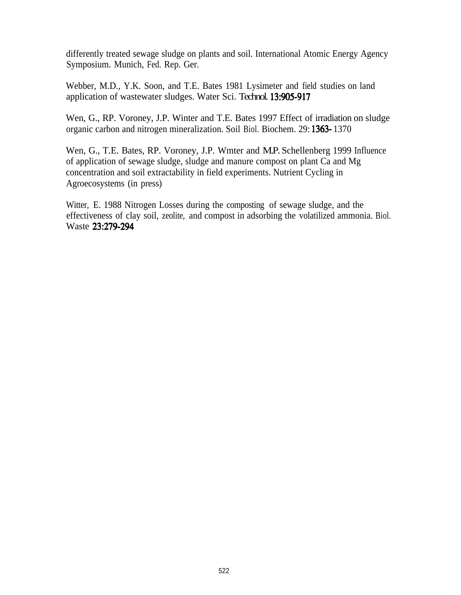differently treated sewage sludge on plants and soil. International Atomic Energy Agency Symposium. Munich, Fed. Rep. Ger.

Webber, M.D., Y.K. Soon, and T.E. Bates 1981 Lysimeter and field studies on land application of wastewater sludges. Water Sci. Technol. 13:905-917

Wen, G., RP. Voroney, J.P. Winter and T.E. Bates 1997 Effect of irradiation on sludge organic carbon and nitrogen mineralization. Soil Biol. Biochem. 29: 1363- 1370

Wen, G., T.E. Bates, RP. Voroney, J.P. Wmter and M.P. Schellenberg 1999 Influence of application of sewage sludge, sludge and manure compost on plant Ca and Mg concentration and soil extractability in field experiments. Nutrient Cycling in Agroecosystems (in press)

Witter, E. 1988 Nitrogen Losses during the composting of sewage sludge, and the effectiveness of clay soil, zeolite, and compost in adsorbing the volatilized ammonia. Biol. Waste 23:279-294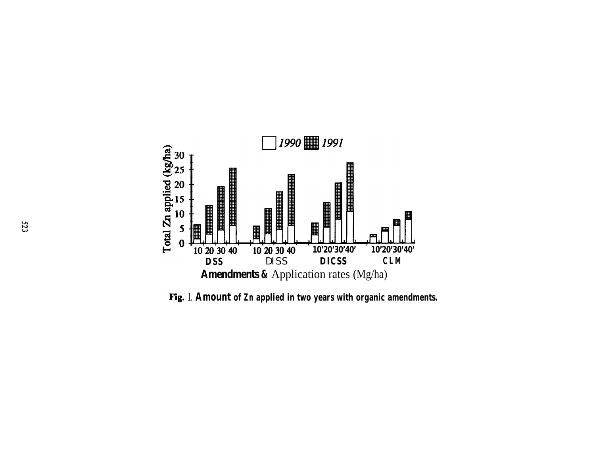

1. **Amount of Zn applied in two years with organic amendments.**